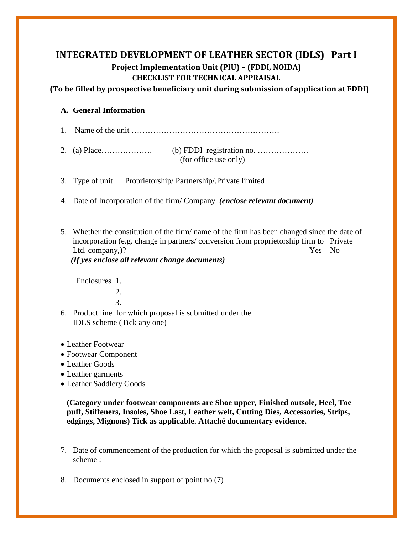## **INTEGRATED DEVELOPMENT OF LEATHER SECTOR (IDLS) Part I Project Implementation Unit (PIU) – (FDDI, NOIDA) CHECKLIST FOR TECHNICAL APPRAISAL**

**(To be filled by prospective beneficiary unit during submission of application at FDDI)**

## **A. General Information**

- 1. Name of the unit ……………………………………………….
- 2. (a) Place………………. (b) FDDI registration no. ………………. (for office use only)
- 3. Type of unit Proprietorship/ Partnership/.Private limited
- 4. Date of Incorporation of the firm/ Company *(enclose relevant document)*
- 5. Whether the constitution of the firm/ name of the firm has been changed since the date of incorporation (e.g. change in partners/ conversion from proprietorship firm to Private Ltd. company,  $)$ ? Yes No

 *(If yes enclose all relevant change documents)*

Enclosures 1.

**2. 2.** 

- 3.
	- 6. Product line for which proposal is submitted under the IDLS scheme (Tick any one)
	- Leather Footwear
	- Footwear Component
	- Leather Goods
	- Leather garments
	- Leather Saddlery Goods

**(Category under footwear components are Shoe upper, Finished outsole, Heel, Toe puff, Stiffeners, Insoles, Shoe Last, Leather welt, Cutting Dies, Accessories, Strips, edgings, Mignons) Tick as applicable. Attaché documentary evidence.**

- 7. Date of commencement of the production for which the proposal is submitted under the scheme :
- 8. Documents enclosed in support of point no (7)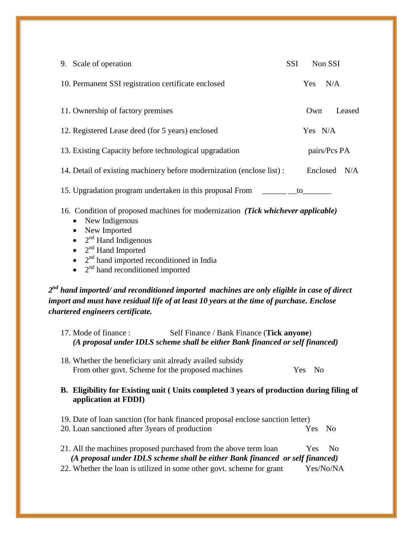| 9. Scale of operation                                                                                                                                                                                                                                                                                                            | <b>SSI</b> | Non SSI          |                |  |  |  |  |  |
|----------------------------------------------------------------------------------------------------------------------------------------------------------------------------------------------------------------------------------------------------------------------------------------------------------------------------------|------------|------------------|----------------|--|--|--|--|--|
| 10. Permanent SSI registration certificate enclosed                                                                                                                                                                                                                                                                              |            | Yes N/A          |                |  |  |  |  |  |
| 11. Ownership of factory premises                                                                                                                                                                                                                                                                                                |            | Own              | Leased         |  |  |  |  |  |
| 12. Registered Lease deed (for 5 years) enclosed                                                                                                                                                                                                                                                                                 |            | Yes N/A          |                |  |  |  |  |  |
| 13. Existing Capacity before technological upgradation                                                                                                                                                                                                                                                                           |            |                  | pairs/Pcs PA   |  |  |  |  |  |
| 14. Detail of existing machinery before modernization (enclose list) :                                                                                                                                                                                                                                                           |            |                  | Enclosed N/A   |  |  |  |  |  |
| 15. Upgradation program undertaken in this proposal From<br>to to the set of the set of the set of the set of the set of the set of the set of the set of the set of the set of the set of the set of the set of the set of the set of the set of the set of the set of the set of the set                                       |            |                  |                |  |  |  |  |  |
| 16. Condition of proposed machines for modernization (Tick whichever applicable)<br>New Indigenous<br>$\bullet$<br>New Imported<br>$\bullet$<br>$2nd$ Hand Indigenous<br>$\bullet$<br>$2nd$ Hand Imported<br>$\bullet$<br>2 <sup>nd</sup> hand imported reconditioned in India<br>$2nd$ hand reconditioned imported<br>$\bullet$ |            |                  |                |  |  |  |  |  |
| $2^{\mathit{nd}}$ hand imported/ and reconditioned imported $\,$ machines are only eligible in case of direct<br>import and must have residual life of at least 10 years at the time of purchase. Enclose<br>chartered engineers certificate.                                                                                    |            |                  |                |  |  |  |  |  |
| 17. Mode of finance:<br>Self Finance / Bank Finance (Tick anyone)<br>(A proposal under IDLS scheme shall be either Bank financed or self financed)                                                                                                                                                                               |            |                  |                |  |  |  |  |  |
| 18. Whether the beneficiary unit already availed subsidy<br>From other govt. Scheme for the proposed machines<br>Yes No                                                                                                                                                                                                          |            |                  |                |  |  |  |  |  |
| B. Eligibility for Existing unit (Units completed 3 years of production during filing of<br>application at FDDI)                                                                                                                                                                                                                 |            |                  |                |  |  |  |  |  |
| 19. Date of loan sanction (for bank financed proposal enclose sanction letter)<br>20. Loan sanctioned after 3 years of production                                                                                                                                                                                                |            | Yes              | N <sub>0</sub> |  |  |  |  |  |
| 21. All the machines proposed purchased from the above term loan<br>(A proposal under IDLS scheme shall be either Bank financed or self financed)<br>22. Whether the loan is utilized in some other govt. scheme for grant                                                                                                       |            | Yes<br>Yes/No/NA | N <sub>0</sub> |  |  |  |  |  |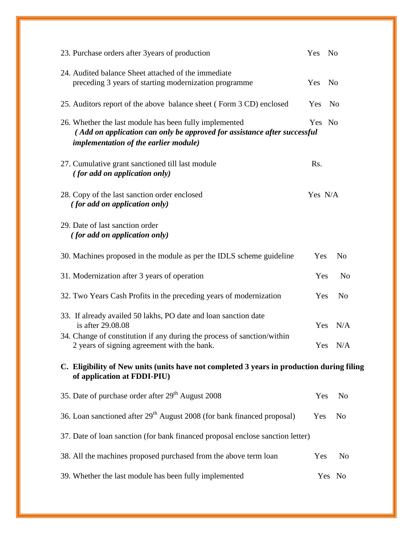| 23. Purchase orders after 3 years of production                                                                                                                                    | Yes     | No |                |  |
|------------------------------------------------------------------------------------------------------------------------------------------------------------------------------------|---------|----|----------------|--|
| 24. Audited balance Sheet attached of the immediate<br>preceding 3 years of starting modernization programme                                                                       | Yes     | No |                |  |
| 25. Auditors report of the above balance sheet (Form 3 CD) enclosed                                                                                                                | Yes     | No |                |  |
| 26. Whether the last module has been fully implemented<br>(Add on application can only be approved for assistance after successful<br><i>implementation of the earlier module)</i> | Yes No  |    |                |  |
| 27. Cumulative grant sanctioned till last module<br><i>(for add on application only)</i>                                                                                           | Rs.     |    |                |  |
| 28. Copy of the last sanction order enclosed<br><i>(for add on application only)</i>                                                                                               | Yes N/A |    |                |  |
| 29. Date of last sanction order<br><i>(for add on application only)</i>                                                                                                            |         |    |                |  |
| 30. Machines proposed in the module as per the IDLS scheme guideline                                                                                                               | Yes     |    | N <sub>o</sub> |  |
| 31. Modernization after 3 years of operation                                                                                                                                       | Yes     |    | N <sub>o</sub> |  |
| 32. Two Years Cash Profits in the preceding years of modernization                                                                                                                 | Yes     |    | N <sub>o</sub> |  |
| 33. If already availed 50 lakhs, PO date and loan sanction date<br>is after 29.08.08                                                                                               | Yes     |    | N/A            |  |
| 34. Change of constitution if any during the process of sanction/within<br>2 years of signing agreement with the bank.                                                             |         |    | Yes N/A        |  |
| C. Eligibility of New units (units have not completed 3 years in production during filing<br>of application at FDDI-PIU)                                                           |         |    |                |  |
| 35. Date of purchase order after 29 <sup>th</sup> August 2008                                                                                                                      | Yes     |    | <b>No</b>      |  |
| 36. Loan sanctioned after 29 <sup>th</sup> August 2008 (for bank financed proposal)                                                                                                | Yes     |    | N <sub>0</sub> |  |
| 37. Date of loan sanction (for bank financed proposal enclose sanction letter)                                                                                                     |         |    |                |  |
| 38. All the machines proposed purchased from the above term loan                                                                                                                   | Yes     |    | N <sub>o</sub> |  |
| 39. Whether the last module has been fully implemented                                                                                                                             |         |    | Yes No         |  |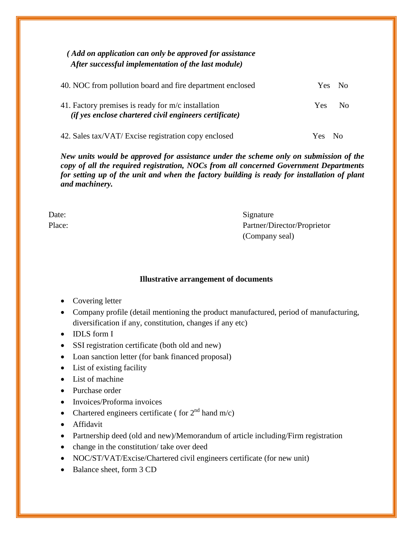| (Add on application can only be approved for assistance<br>After successful implementation of the last module) |                        |
|----------------------------------------------------------------------------------------------------------------|------------------------|
| 40. NOC from pollution board and fire department enclosed                                                      | N <sub>0</sub><br>Yes. |
| 41. Factory premises is ready for m/c installation<br>(if yes enclose chartered civil engineers certificate)   | <b>Yes</b><br>No       |
| 42. Sales tax/VAT/ Excise registration copy enclosed                                                           |                        |

*New units would be approved for assistance under the scheme only on submission of the copy of all the required registration, NOCs from all concerned Government Departments for setting up of the unit and when the factory building is ready for installation of plant and machinery.*

| Date:  | Signature                   |
|--------|-----------------------------|
| Place: | Partner/Director/Proprietor |
|        | (Company seal)              |

## **Illustrative arrangement of documents**

- Covering letter
- Company profile (detail mentioning the product manufactured, period of manufacturing, diversification if any, constitution, changes if any etc)
- IDLS form I
- SSI registration certificate (both old and new)
- Loan sanction letter (for bank financed proposal)
- List of existing facility
- List of machine
- Purchase order
- Invoices/Proforma invoices
- Chartered engineers certificate ( for  $2<sup>nd</sup>$  hand m/c)
- Affidavit
- Partnership deed (old and new)/Memorandum of article including/Firm registration
- change in the constitution/ take over deed
- NOC/ST/VAT/Excise/Chartered civil engineers certificate (for new unit)
- Balance sheet, form 3 CD